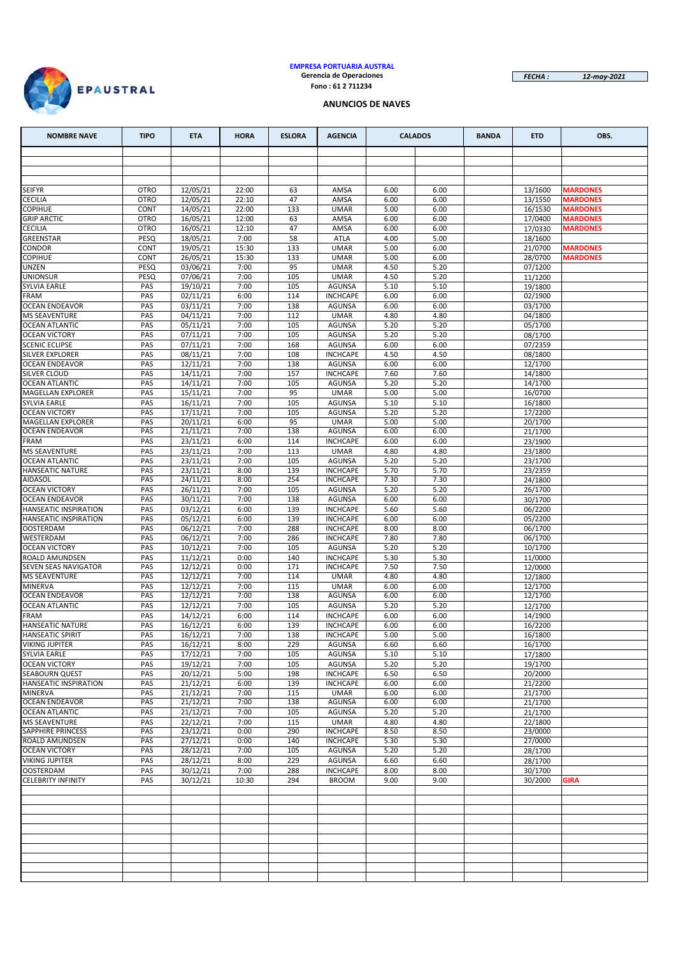

#### **EMPRESA PORTUARIA AUSTRAL Gerencia de Operaciones Fono : 61 2 711234**

*FECHA : 12-may-2021*

## **ANUNCIOS DE NAVES**

| <b>NOMBRE NAVE</b>                             | <b>TIPO</b>         | <b>ETA</b>                    | <b>HORA</b>    | <b>ESLORA</b> | <b>AGENCIA</b>                   |              | <b>CALADOS</b> | <b>BANDA</b> | <b>ETD</b>         | OBS.                               |
|------------------------------------------------|---------------------|-------------------------------|----------------|---------------|----------------------------------|--------------|----------------|--------------|--------------------|------------------------------------|
|                                                |                     |                               |                |               |                                  |              |                |              |                    |                                    |
|                                                |                     |                               |                |               |                                  |              |                |              |                    |                                    |
|                                                |                     |                               |                |               |                                  |              |                |              |                    |                                    |
| <b>SEIFYR</b>                                  | <b>OTRO</b>         | 12/05/21                      | 22:00          | 63            | AMSA                             | 6.00         | 6.00           |              | 13/1600            | <b>MARDONES</b>                    |
| <b>CECILIA</b>                                 | <b>OTRO</b>         | 12/05/21                      | 22:10          | 47            | AMSA                             | 6.00         | 6.00           |              | 13/1550            | <b>MARDONES</b>                    |
| <b>COPIHUE</b><br><b>GRIP ARCTIC</b>           | CONT<br><b>OTRO</b> | 14/05/21<br>16/05/21          | 22:00<br>12:00 | 133<br>63     | <b>UMAR</b><br>AMSA              | 5.00<br>6.00 | 6.00<br>6.00   |              | 16/1530<br>17/0400 | <b>MARDONES</b><br><b>MARDONES</b> |
| <b>CECILIA</b>                                 | <b>OTRO</b>         | 16/05/21                      | 12:10          | 47            | AMSA                             | 6.00         | 6.00           |              | 17/0330            | <b>MARDONES</b>                    |
| GREENSTAR                                      | PESQ                | 18/05/21                      | 7:00           | 58            | ATLA                             | 4.00         | 5.00           |              | 18/1600            |                                    |
| CONDOR                                         | CONT                | 19/05/21                      | 15:30          | 133           | <b>UMAR</b>                      | 5.00         | 6.00           |              | 21/0700            | <b>MARDONES</b>                    |
| <b>COPIHUE</b><br><b>UNZEN</b>                 | CONT<br>PESQ        | 26/05/21<br>03/06/21          | 15:30<br>7:00  | 133<br>95     | <b>UMAR</b><br><b>UMAR</b>       | 5.00<br>4.50 | 6.00<br>5.20   |              | 28/0700            | <b>MARDONES</b>                    |
| <b>UNIONSUR</b>                                | PESQ                | 07/06/21                      | 7:00           | 105           | <b>UMAR</b>                      | 4.50         | 5.20           |              | 07/1200<br>11/1200 |                                    |
| <b>SYLVIA EARLE</b>                            | PAS                 | 19/10/21                      | 7:00           | 105           | <b>AGUNSA</b>                    | 5.10         | 5.10           |              | 19/1800            |                                    |
| <b>FRAM</b>                                    | PAS                 | 02/11/21                      | 6:00           | 114           | <b>INCHCAPE</b>                  | 6.00         | 6.00           |              | 02/1900            |                                    |
| <b>OCEAN ENDEAVOR</b>                          | PAS                 | 03/11/21                      | 7:00           | 138           | <b>AGUNSA</b>                    | 6.00         | 6.00           |              | 03/1700            |                                    |
| <b>MS SEAVENTURE</b><br><b>OCEAN ATLANTIC</b>  | PAS<br>PAS          | 04/11/21<br>05/11/21          | 7:00<br>7:00   | 112<br>105    | <b>UMAR</b><br><b>AGUNSA</b>     | 4.80<br>5.20 | 4.80<br>5.20   |              | 04/1800<br>05/1700 |                                    |
| <b>OCEAN VICTORY</b>                           | PAS                 | 07/11/21                      | 7:00           | 105           | <b>AGUNSA</b>                    | 5.20         | 5.20           |              | 08/1700            |                                    |
| <b>SCENIC ECLIPSE</b>                          | PAS                 | 07/11/21                      | 7:00           | 168           | <b>AGUNSA</b>                    | 6.00         | 6.00           |              | 07/2359            |                                    |
| <b>SILVER EXPLORER</b>                         | PAS                 | 08/11/21                      | 7:00           | 108           | <b>INCHCAPE</b>                  | 4.50         | 4.50           |              | 08/1800            |                                    |
| <b>OCEAN ENDEAVOR</b>                          | PAS                 | 12/11/21                      | 7:00           | 138           | <b>AGUNSA</b>                    | 6.00         | 6.00           |              | 12/1700            |                                    |
| SILVER CLOUD<br><b>OCEAN ATLANTIC</b>          | PAS<br>PAS          | 14/11/21<br>14/11/21          | 7:00<br>7:00   | 157<br>105    | <b>INCHCAPE</b><br><b>AGUNSA</b> | 7.60<br>5.20 | 7.60<br>5.20   |              | 14/1800<br>14/1700 |                                    |
| MAGELLAN EXPLORER                              | PAS                 | 15/11/21                      | 7:00           | 95            | <b>UMAR</b>                      | 5.00         | 5.00           |              | 16/0700            |                                    |
| <b>SYLVIA EARLE</b>                            | PAS                 | 16/11/21                      | 7:00           | 105           | <b>AGUNSA</b>                    | 5.10         | 5.10           |              | 16/1800            |                                    |
| <b>OCEAN VICTORY</b>                           | PAS                 | 17/11/21                      | 7:00           | 105           | <b>AGUNSA</b>                    | 5.20         | 5.20           |              | 17/2200            |                                    |
| <b>MAGELLAN EXPLORER</b>                       | PAS                 | 20/11/21                      | 6:00           | 95            | <b>UMAR</b>                      | 5.00         | 5.00           |              | 20/1700            |                                    |
| <b>OCEAN ENDEAVOR</b><br>FRAM                  | PAS<br>PAS          | 21/11/21<br>23/11/21          | 7:00<br>6:00   | 138<br>114    | <b>AGUNSA</b><br><b>INCHCAPE</b> | 6.00<br>6.00 | 6.00<br>6.00   |              | 21/1700<br>23/1900 |                                    |
| <b>MS SEAVENTURE</b>                           | PAS                 | 23/11/21                      | 7:00           | 113           | <b>UMAR</b>                      | 4.80         | 4.80           |              | 23/1800            |                                    |
| <b>OCEAN ATLANTIC</b>                          | PAS                 | 23/11/21                      | 7:00           | 105           | <b>AGUNSA</b>                    | 5.20         | 5.20           |              | 23/1700            |                                    |
| <b>HANSEATIC NATURE</b>                        | PAS                 | 23/11/21                      | 8:00           | 139           | <b>INCHCAPE</b>                  | 5.70         | 5.70           |              | 23/2359            |                                    |
| <b>AIDASOL</b>                                 | PAS                 | 24/11/21                      | 8:00           | 254           | <b>INCHCAPE</b>                  | 7.30         | 7.30           |              | 24/1800            |                                    |
| <b>OCEAN VICTORY</b><br><b>OCEAN ENDEAVOR</b>  | PAS<br>PAS          | 26/11/21<br>30/11/21          | 7:00<br>7:00   | 105<br>138    | <b>AGUNSA</b><br><b>AGUNSA</b>   | 5.20<br>6.00 | 5.20<br>6.00   |              | 26/1700<br>30/1700 |                                    |
| <b>HANSEATIC INSPIRATION</b>                   | PAS                 | 03/12/21                      | 6:00           | 139           | <b>INCHCAPE</b>                  | 5.60         | 5.60           |              | 06/2200            |                                    |
| <b>HANSEATIC INSPIRATION</b>                   | PAS                 | 05/12/21                      | 6:00           | 139           | <b>INCHCAPE</b>                  | 6.00         | 6.00           |              | 05/2200            |                                    |
| <b>OOSTERDAM</b>                               | PAS                 | 06/12/21                      | 7:00           | 288           | <b>INCHCAPE</b>                  | 8.00         | 8.00           |              | 06/1700            |                                    |
| WESTERDAM                                      | PAS                 | 06/12/21                      | 7:00           | 286           | <b>INCHCAPE</b>                  | 7.80         | 7.80           |              | 06/1700            |                                    |
| <b>OCEAN VICTORY</b><br>ROALD AMUNDSEN         | PAS<br>PAS          | 10/12/21<br>11/12/21          | 7:00<br>0:00   | 105<br>140    | AGUNSA<br><b>INCHCAPE</b>        | 5.20<br>5.30 | 5.20<br>5.30   |              | 10/1700<br>11/0000 |                                    |
| SEVEN SEAS NAVIGATOR                           | PAS                 | 12/12/21                      | 0:00           | 171           | <b>INCHCAPE</b>                  | 7.50         | 7.50           |              | 12/0000            |                                    |
| <b>MS SEAVENTURE</b>                           | PAS                 | 12/12/21                      | 7:00           | 114           | <b>UMAR</b>                      | 4.80         | 4.80           |              | 12/1800            |                                    |
| <b>MINERVA</b>                                 | PAS                 | 12/12/21                      | 7:00           | 115           | <b>UMAR</b>                      | 6.00         | 6.00           |              | 12/1700            |                                    |
| <b>OCEAN ENDEAVOR</b><br><b>OCEAN ATLANTIC</b> | PAS<br>PAS          | $\sqrt{12/12/21}$<br>12/12/21 | 7:00<br>7:00   | 138<br>105    | <b>AGUNSA</b><br><b>AGUNSA</b>   | 6.00<br>5.20 | 6.00<br>5.20   |              | 12/1700<br>12/1700 |                                    |
| <b>FRAM</b>                                    | PAS                 | 14/12/21                      | 6:00           | 114           | <b>INCHCAPE</b>                  | 6.00         | 6.00           |              | 14/1900            |                                    |
| <b>HANSEATIC NATURE</b>                        | PAS                 | 16/12/21                      | 6:00           | 139           | <b>INCHCAPE</b>                  | 6.00         | 6.00           |              | 16/2200            |                                    |
| <b>HANSEATIC SPIRIT</b>                        | PAS                 | 16/12/21                      | 7:00           | 138           | <b>INCHCAPE</b>                  | 5.00         | 5.00           |              | 16/1800            |                                    |
| <b>VIKING JUPITER</b>                          | PAS                 | 16/12/21                      | 8:00           | 229           | AGUNSA                           | 6.60         | 6.60           |              | 16/1700            |                                    |
| <b>SYLVIA EARLE</b><br><b>OCEAN VICTORY</b>    | PAS<br>PAS          | 17/12/21<br>19/12/21          | 7:00<br>7:00   | 105<br>105    | AGUNSA<br>AGUNSA                 | 5.10<br>5.20 | 5.10<br>5.20   |              | 17/1800<br>19/1700 |                                    |
| <b>SEABOURN QUEST</b>                          | PAS                 | 20/12/21                      | 5:00           | 198           | <b>INCHCAPE</b>                  | 6.50         | 6.50           |              | 20/2000            |                                    |
| <b>HANSEATIC INSPIRATION</b>                   | PAS                 | 21/12/21                      | 6:00           | 139           | <b>INCHCAPE</b>                  | 6.00         | 6.00           |              | 21/2200            |                                    |
| <b>MINERVA</b>                                 | PAS                 | 21/12/21                      | 7:00           | 115           | <b>UMAR</b>                      | 6.00         | 6.00           |              | 21/1700            |                                    |
| <b>OCEAN ENDEAVOR</b>                          | PAS                 | 21/12/21<br>21/12/21          | 7:00           | 138           | AGUNSA                           | 6.00         | 6.00           |              | 21/1700            |                                    |
| <b>OCEAN ATLANTIC</b><br><b>MS SEAVENTURE</b>  | PAS<br>PAS          | 22/12/21                      | 7:00<br>7:00   | 105<br>115    | AGUNSA<br><b>UMAR</b>            | 5.20<br>4.80 | 5.20<br>4.80   |              | 21/1700<br>22/1800 |                                    |
| <b>SAPPHIRE PRINCESS</b>                       | PAS                 | 23/12/21                      | 0:00           | 290           | <b>INCHCAPE</b>                  | 8.50         | 8.50           |              | 23/0000            |                                    |
| <b>ROALD AMUNDSEN</b>                          | PAS                 | 27/12/21                      | 0:00           | 140           | <b>INCHCAPE</b>                  | 5.30         | 5.30           |              | 27/0000            |                                    |
| <b>OCEAN VICTORY</b>                           | PAS                 | 28/12/21                      | 7:00           | 105           | AGUNSA                           | 5.20         | 5.20           |              | 28/1700            |                                    |
| <b>VIKING JUPITER</b><br><b>OOSTERDAM</b>      | PAS<br>PAS          | 28/12/21<br>30/12/21          | 8:00<br>7:00   | 229<br>288    | <b>AGUNSA</b><br><b>INCHCAPE</b> | 6.60<br>8.00 | 6.60<br>8.00   |              | 28/1700<br>30/1700 |                                    |
| <b>CELEBRITY INFINITY</b>                      | PAS                 | 30/12/21                      | 10:30          | 294           | <b>BROOM</b>                     | 9.00         | 9.00           |              | 30/2000            | <b>GIRA</b>                        |
|                                                |                     |                               |                |               |                                  |              |                |              |                    |                                    |
|                                                |                     |                               |                |               |                                  |              |                |              |                    |                                    |
|                                                |                     |                               |                |               |                                  |              |                |              |                    |                                    |
|                                                |                     |                               |                |               |                                  |              |                |              |                    |                                    |
|                                                |                     |                               |                |               |                                  |              |                |              |                    |                                    |
|                                                |                     |                               |                |               |                                  |              |                |              |                    |                                    |
|                                                |                     |                               |                |               |                                  |              |                |              |                    |                                    |
|                                                |                     |                               |                |               |                                  |              |                |              |                    |                                    |
|                                                |                     |                               |                |               |                                  |              |                |              |                    |                                    |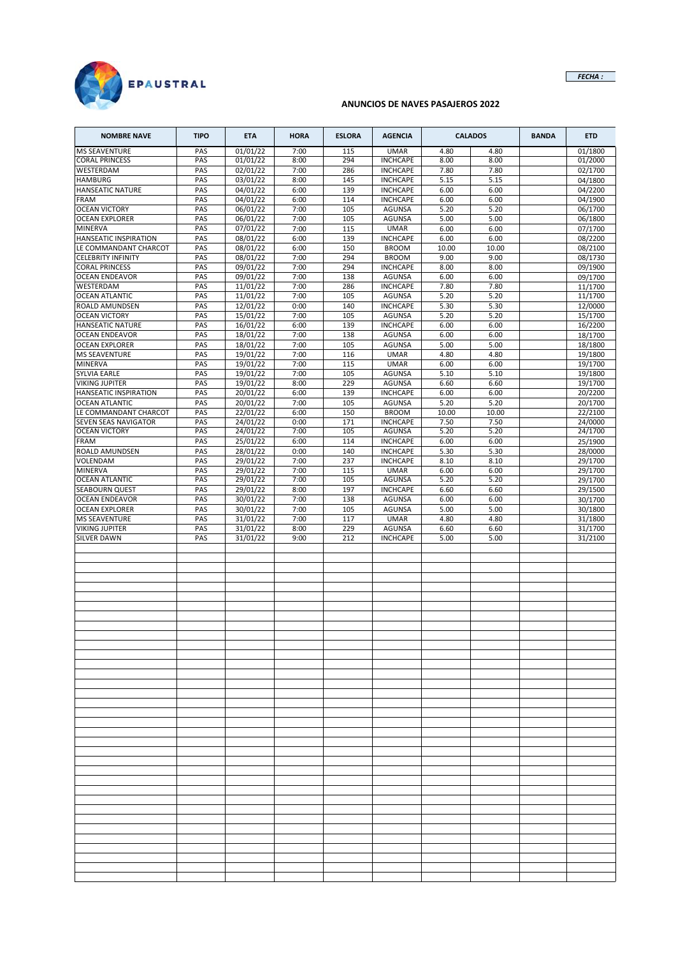

# **ANUNCIOS DE NAVES PASAJEROS 2022**

| <b>NOMBRE NAVE</b>                     | <b>TIPO</b> | <b>ETA</b>           | <b>HORA</b>  | <b>ESLORA</b> | <b>AGENCIA</b>                     |              | <b>CALADOS</b> | <b>BANDA</b> | <b>ETD</b>         |
|----------------------------------------|-------------|----------------------|--------------|---------------|------------------------------------|--------------|----------------|--------------|--------------------|
| <b>MS SEAVENTURE</b>                   | PAS         | 01/01/22             | 7:00         | 115           | <b>UMAR</b>                        | 4.80         | 4.80           |              | 01/1800            |
| <b>CORAL PRINCESS</b>                  | PAS         | 01/01/22             | 8:00         | 294           | <b>INCHCAPE</b>                    | 8.00         | 8.00           |              | 01/2000            |
| WESTERDAM                              | PAS         | 02/01/22             | 7:00         | 286           | <b>INCHCAPE</b>                    | 7.80         | 7.80           |              | 02/1700            |
| <b>HAMBURG</b>                         | PAS         | 03/01/22             | 8:00         | 145           | <b>INCHCAPE</b>                    | 5.15         | 5.15           |              | 04/1800            |
| <b>HANSEATIC NATURE</b><br>FRAM        | PAS<br>PAS  | 04/01/22<br>04/01/22 | 6:00<br>6:00 | 139<br>114    | <b>INCHCAPE</b><br><b>INCHCAPE</b> | 6.00<br>6.00 | 6.00<br>6.00   |              | 04/2200<br>04/1900 |
| <b>OCEAN VICTORY</b>                   | PAS         | 06/01/22             | 7:00         | 105           | <b>AGUNSA</b>                      | 5.20         | 5.20           |              | 06/1700            |
| <b>OCEAN EXPLORER</b>                  | PAS         | 06/01/22             | 7:00         | 105           | <b>AGUNSA</b>                      | 5.00         | 5.00           |              | 06/1800            |
| MINERVA                                | PAS         | 07/01/22             | 7:00         | 115           | <b>UMAR</b>                        | 6.00         | 6.00           |              | 07/1700            |
| HANSEATIC INSPIRATION                  | PAS         | 08/01/22             | 6:00         | 139           | <b>INCHCAPE</b>                    | 6.00         | 6.00           |              | 08/2200            |
| LE COMMANDANT CHARCOT                  | PAS         | 08/01/22             | 6:00         | 150           | <b>BROOM</b>                       | 10.00        | 10.00          |              | 08/2100            |
| <b>CELEBRITY INFINITY</b>              | PAS         | 08/01/22             | 7:00         | 294           | <b>BROOM</b>                       | 9.00         | 9.00           |              | 08/1730            |
| <b>CORAL PRINCESS</b>                  | PAS         | 09/01/22             | 7:00         | 294           | <b>INCHCAPE</b>                    | 8.00         | 8.00           |              | 09/1900            |
| <b>OCEAN ENDEAVOR</b>                  | PAS         | 09/01/22             | 7:00         | 138           | <b>AGUNSA</b>                      | 6.00         | 6.00           |              | 09/1700            |
| WESTERDAM                              | PAS         | 11/01/22             | 7:00         | 286           | <b>INCHCAPE</b>                    | 7.80         | 7.80           |              | 11/1700            |
| <b>OCEAN ATLANTIC</b>                  | PAS         | 11/01/22             | 7:00         | 105           | AGUNSA                             | 5.20         | 5.20           |              | 11/1700            |
| ROALD AMUNDSEN<br><b>OCEAN VICTORY</b> | PAS<br>PAS  | 12/01/22             | 0:00<br>7:00 | 140<br>105    | <b>INCHCAPE</b><br><b>AGUNSA</b>   | 5.30<br>5.20 | 5.30<br>5.20   |              | 12/0000            |
| <b>HANSEATIC NATURE</b>                | PAS         | 15/01/22<br>16/01/22 | 6:00         | 139           | <b>INCHCAPE</b>                    | 6.00         | 6.00           |              | 15/1700<br>16/2200 |
| <b>OCEAN ENDEAVOR</b>                  | PAS         | 18/01/22             | 7:00         | 138           | <b>AGUNSA</b>                      | 6.00         | 6.00           |              | 18/1700            |
| <b>OCEAN EXPLORER</b>                  | PAS         | 18/01/22             | 7:00         | 105           | <b>AGUNSA</b>                      | 5.00         | 5.00           |              | 18/1800            |
| <b>MS SEAVENTURE</b>                   | PAS         | 19/01/22             | 7:00         | 116           | <b>UMAR</b>                        | 4.80         | 4.80           |              | 19/1800            |
| <b>MINERVA</b>                         | PAS         | 19/01/22             | 7:00         | 115           | <b>UMAR</b>                        | 6.00         | 6.00           |              | 19/1700            |
| <b>SYLVIA EARLE</b>                    | PAS         | 19/01/22             | 7:00         | 105           | <b>AGUNSA</b>                      | 5.10         | 5.10           |              | 19/1800            |
| VIKING JUPITER                         | PAS         | 19/01/22             | 8:00         | 229           | <b>AGUNSA</b>                      | 6.60         | 6.60           |              | 19/1700            |
| HANSEATIC INSPIRATION                  | PAS         | 20/01/22             | 6:00         | 139           | <b>INCHCAPE</b>                    | 6.00         | 6.00           |              | 20/2200            |
| <b>OCEAN ATLANTIC</b>                  | PAS         | 20/01/22             | 7:00         | 105           | <b>AGUNSA</b>                      | 5.20         | 5.20           |              | 20/1700            |
| LE COMMANDANT CHARCOT                  | PAS         | 22/01/22             | 6:00         | 150           | <b>BROOM</b>                       | 10.00        | 10.00          |              | 22/2100            |
| <b>SEVEN SEAS NAVIGATOR</b>            | PAS         | 24/01/22             | 0:00         | 171           | <b>INCHCAPE</b>                    | 7.50         | 7.50           |              | 24/0000            |
| <b>OCEAN VICTORY</b>                   | PAS         | 24/01/22<br>25/01/22 | 7:00         | 105           | <b>AGUNSA</b>                      | 5.20         | 5.20           |              | 24/1700            |
| <b>FRAM</b><br>ROALD AMUNDSEN          | PAS<br>PAS  | 28/01/22             | 6:00<br>0:00 | 114<br>140    | <b>INCHCAPE</b><br><b>INCHCAPE</b> | 6.00<br>5.30 | 6.00<br>5.30   |              | 25/1900<br>28/0000 |
| VOLENDAM                               | PAS         | 29/01/22             | 7:00         | 237           | <b>INCHCAPE</b>                    | 8.10         | 8.10           |              | 29/1700            |
| <b>MINERVA</b>                         | PAS         | 29/01/22             | 7:00         | 115           | <b>UMAR</b>                        | 6.00         | 6.00           |              | 29/1700            |
| <b>OCEAN ATLANTIC</b>                  | PAS         | 29/01/22             | 7:00         | 105           | <b>AGUNSA</b>                      | 5.20         | 5.20           |              | 29/1700            |
| <b>SEABOURN QUEST</b>                  | PAS         | 29/01/22             | 8:00         | 197           | <b>INCHCAPE</b>                    | 6.60         | 6.60           |              | 29/1500            |
| <b>OCEAN ENDEAVOR</b>                  | PAS         | 30/01/22             | 7:00         | 138           | <b>AGUNSA</b>                      | 6.00         | 6.00           |              | 30/1700            |
| <b>OCEAN EXPLORER</b>                  | PAS         | 30/01/22             | 7:00         | 105           | <b>AGUNSA</b>                      | 5.00         | 5.00           |              | 30/1800            |
| <b>MS SEAVENTURE</b>                   | PAS         | 31/01/22             | 7:00         | 117           | <b>UMAR</b>                        | 4.80         | 4.80           |              | 31/1800            |
| VIKING JUPITER                         | PAS         | 31/01/22             | 8:00         | 229           | <b>AGUNSA</b>                      | 6.60         | 6.60           |              | 31/1700            |
| <b>SILVER DAWN</b>                     | PAS         | 31/01/22             | 9:00         | 212           | <b>INCHCAPE</b>                    | 5.00         | 5.00           |              | 31/2100            |
|                                        |             |                      |              |               |                                    |              |                |              |                    |
|                                        |             |                      |              |               |                                    |              |                |              |                    |
|                                        |             |                      |              |               |                                    |              |                |              |                    |
|                                        |             |                      |              |               |                                    |              |                |              |                    |
|                                        |             |                      |              |               |                                    |              |                |              |                    |
|                                        |             |                      |              |               |                                    |              |                |              |                    |
|                                        |             |                      |              |               |                                    |              |                |              |                    |
|                                        |             |                      |              |               |                                    |              |                |              |                    |
|                                        |             |                      |              |               |                                    |              |                |              |                    |
|                                        |             |                      |              |               |                                    |              |                |              |                    |
|                                        |             |                      |              |               |                                    |              |                |              |                    |
|                                        |             |                      |              |               |                                    |              |                |              |                    |
|                                        |             |                      |              |               |                                    |              |                |              |                    |
|                                        |             |                      |              |               |                                    |              |                |              |                    |
|                                        |             |                      |              |               |                                    |              |                |              |                    |
|                                        |             |                      |              |               |                                    |              |                |              |                    |
|                                        |             |                      |              |               |                                    |              |                |              |                    |
|                                        |             |                      |              |               |                                    |              |                |              |                    |
|                                        |             |                      |              |               |                                    |              |                |              |                    |
|                                        |             |                      |              |               |                                    |              |                |              |                    |
|                                        |             |                      |              |               |                                    |              |                |              |                    |
|                                        |             |                      |              |               |                                    |              |                |              |                    |
|                                        |             |                      |              |               |                                    |              |                |              |                    |
|                                        |             |                      |              |               |                                    |              |                |              |                    |
|                                        |             |                      |              |               |                                    |              |                |              |                    |
|                                        |             |                      |              |               |                                    |              |                |              |                    |
|                                        |             |                      |              |               |                                    |              |                |              |                    |
|                                        |             |                      |              |               |                                    |              |                |              |                    |
|                                        |             |                      |              |               |                                    |              |                |              |                    |
|                                        |             |                      |              |               |                                    |              |                |              |                    |
|                                        |             |                      |              |               |                                    |              |                |              |                    |
|                                        |             |                      |              |               |                                    |              |                |              |                    |
|                                        |             |                      |              |               |                                    |              |                |              |                    |

*FECHA :*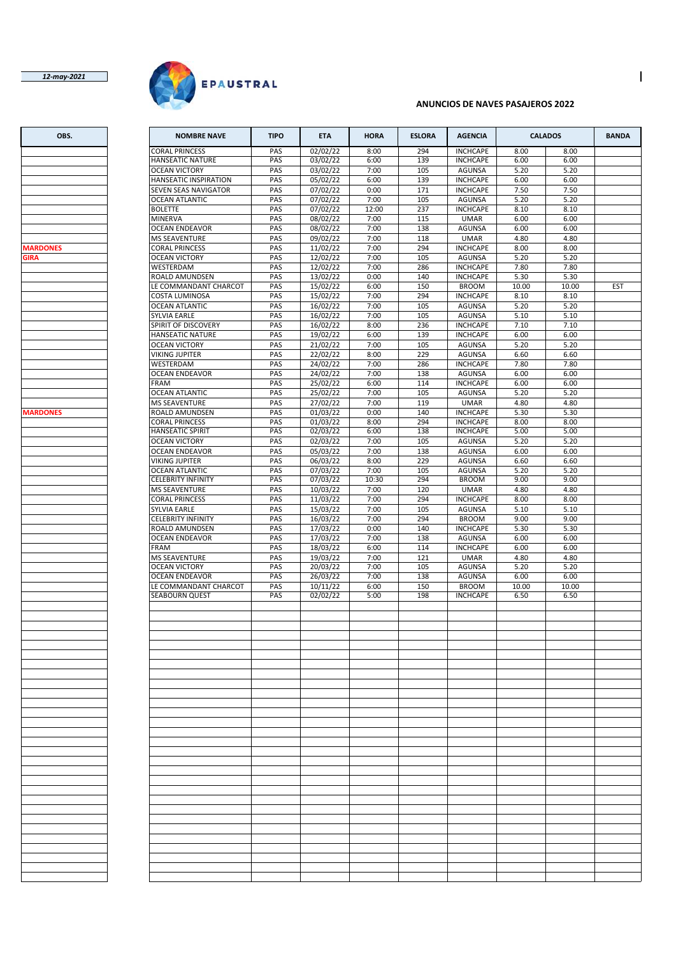### *12-may-2021*



### **ANUNCIOS DE NAVES PASAJEROS 2022**

| OBS.            | <b>NOMBRE NAVE</b>                                | <b>TIPO</b> | <b>ETA</b>           | <b>HORA</b>   | <b>ESLORA</b> | <b>AGENCIA</b>                   |              | <b>CALADOS</b> | <b>BANDA</b> |
|-----------------|---------------------------------------------------|-------------|----------------------|---------------|---------------|----------------------------------|--------------|----------------|--------------|
|                 | <b>CORAL PRINCESS</b>                             | PAS         | 02/02/22             | 8:00          | 294           | <b>INCHCAPE</b>                  | 8.00         | 8.00           |              |
|                 | <b>HANSEATIC NATURE</b>                           | PAS         | 03/02/22             | 6:00          | 139           | <b>INCHCAPE</b>                  | 6.00         | 6.00           |              |
|                 | <b>OCEAN VICTORY</b>                              | PAS         | 03/02/22             | 7:00          | 105           | <b>AGUNSA</b>                    | 5.20         | 5.20           |              |
|                 | HANSEATIC INSPIRATION                             | PAS         | 05/02/22             | 6:00          | 139           | <b>INCHCAPE</b>                  | 6.00         | 6.00           |              |
|                 | SEVEN SEAS NAVIGATOR                              | PAS         | 07/02/22             | 0:00          | 171           | <b>INCHCAPE</b>                  | 7.50         | 7.50           |              |
|                 | <b>OCEAN ATLANTIC</b>                             | PAS         | 07/02/22             | 7:00          | 105           | <b>AGUNSA</b>                    | 5.20         | 5.20           |              |
|                 | <b>BOLETTE</b>                                    | PAS         | 07/02/22             | 12:00         | 237           | <b>INCHCAPE</b>                  | 8.10         | 8.10           |              |
|                 | MINERVA                                           | PAS         | 08/02/22             | 7:00          | 115           | <b>UMAR</b>                      | 6.00         | 6.00           |              |
|                 | <b>OCEAN ENDEAVOR</b>                             | PAS         | 08/02/22             | 7:00          | 138           | <b>AGUNSA</b>                    | 6.00         | 6.00           |              |
|                 | <b>MS SEAVENTURE</b>                              | PAS         | 09/02/22             | 7:00          | 118           | <b>UMAR</b>                      | 4.80         | 4.80           |              |
| <b>MARDONES</b> | <b>CORAL PRINCESS</b>                             | PAS         | 11/02/22             | 7:00          | 294           | <b>INCHCAPE</b>                  | 8.00         | 8.00           |              |
| <b>GIRA</b>     | <b>OCEAN VICTORY</b>                              | PAS         | 12/02/22             | 7:00          | 105           | <b>AGUNSA</b>                    | 5.20         | 5.20           |              |
|                 | WESTERDAM                                         | PAS         | 12/02/22             | 7:00          | 286           | <b>INCHCAPE</b>                  | 7.80         | 7.80           |              |
|                 | ROALD AMUNDSEN                                    | PAS         | 13/02/22             | 0:00          | 140           | <b>INCHCAPE</b>                  | 5.30         | 5.30           |              |
|                 | LE COMMANDANT CHARCOT                             | PAS         | 15/02/22             | 6:00          | 150           | <b>BROOM</b>                     | 10.00        | 10.00          | <b>EST</b>   |
|                 | COSTA LUMINOSA                                    | PAS         | 15/02/22             | 7:00          | 294           | <b>INCHCAPE</b>                  | 8.10         | 8.10           |              |
|                 | <b>OCEAN ATLANTIC</b>                             | PAS         | 16/02/22             | 7:00          | 105           | <b>AGUNSA</b>                    | 5.20         | 5.20           |              |
|                 | SYLVIA EARLE                                      | PAS         | 16/02/22             | 7:00          | 105           | <b>AGUNSA</b>                    | 5.10         | 5.10           |              |
|                 | SPIRIT OF DISCOVERY                               | PAS         | 16/02/22             | 8:00          | 236           | <b>INCHCAPE</b>                  | 7.10         | 7.10           |              |
|                 | <b>HANSEATIC NATURE</b>                           | PAS         | 19/02/22             | 6:00          | 139           | <b>INCHCAPE</b>                  | 6.00         | 6.00           |              |
|                 | <b>OCEAN VICTORY</b>                              | PAS         | 21/02/22             | 7:00          | 105           | <b>AGUNSA</b>                    | 5.20         | 5.20           |              |
|                 | VIKING JUPITER                                    | PAS         | 22/02/22             | 8:00          | 229           | <b>AGUNSA</b>                    | 6.60         | 6.60           |              |
|                 | WESTERDAM                                         |             |                      |               |               |                                  |              |                |              |
|                 | <b>OCEAN ENDEAVOR</b>                             | PAS<br>PAS  | 24/02/22<br>24/02/22 | 7:00<br>7:00  | 286<br>138    | <b>INCHCAPE</b><br><b>AGUNSA</b> | 7.80<br>6.00 | 7.80<br>6.00   |              |
|                 |                                                   |             |                      |               |               |                                  |              |                |              |
|                 | <b>FRAM</b>                                       | PAS         | 25/02/22             | 6:00          | 114           | <b>INCHCAPE</b><br><b>AGUNSA</b> | 6.00         | 6.00           |              |
|                 | <b>OCEAN ATLANTIC</b>                             | PAS         | 25/02/22             | 7:00          | 105           |                                  | 5.20         | 5.20           |              |
|                 | <b>MS SEAVENTURE</b>                              | PAS         | 27/02/22             | 7:00          | 119           | <b>UMAR</b>                      | 4.80         | 4.80           |              |
| <b>MARDONES</b> | ROALD AMUNDSEN                                    | PAS         | 01/03/22             | 0:00          | 140           | <b>INCHCAPE</b>                  | 5.30         | 5.30           |              |
|                 | <b>CORAL PRINCESS</b>                             | PAS         | 01/03/22             | 8:00          | 294           | <b>INCHCAPE</b>                  | 8.00         | 8.00           |              |
|                 | <b>HANSEATIC SPIRIT</b>                           | PAS         | 02/03/22             | 6:00          | 138           | <b>INCHCAPE</b>                  | 5.00         | 5.00           |              |
|                 | <b>OCEAN VICTORY</b>                              | PAS         | 02/03/22             | 7:00          | 105           | <b>AGUNSA</b>                    | 5.20         | 5.20           |              |
|                 | <b>OCEAN ENDEAVOR</b>                             | PAS         | 05/03/22             | 7:00          | 138           | <b>AGUNSA</b>                    | 6.00         | 6.00           |              |
|                 | <b>VIKING JUPITER</b>                             | PAS         | 06/03/22             | 8:00          | 229           | AGUNSA                           | 6.60         | 6.60           |              |
|                 | <b>OCEAN ATLANTIC</b>                             | PAS<br>PAS  | 07/03/22             | 7:00<br>10:30 | 105<br>294    | <b>AGUNSA</b><br><b>BROOM</b>    | 5.20         | 5.20<br>9.00   |              |
|                 | <b>CELEBRITY INFINITY</b><br><b>MS SEAVENTURE</b> | PAS         | 07/03/22<br>10/03/22 | 7:00          | 120           | <b>UMAR</b>                      | 9.00<br>4.80 | 4.80           |              |
|                 | <b>CORAL PRINCESS</b>                             | PAS         | 11/03/22             | 7:00          | 294           | <b>INCHCAPE</b>                  | 8.00         | 8.00           |              |
|                 | SYLVIA EARLE                                      | PAS         | 15/03/22             | 7:00          | 105           | <b>AGUNSA</b>                    | 5.10         | 5.10           |              |
|                 | <b>CELEBRITY INFINITY</b>                         | PAS         | 16/03/22             | 7:00          | 294           | <b>BROOM</b>                     | 9.00         | 9.00           |              |
|                 | ROALD AMUNDSEN                                    | PAS         | 17/03/22             | 0:00          | 140           | <b>INCHCAPE</b>                  | 5.30         | 5.30           |              |
|                 | <b>OCEAN ENDEAVOR</b>                             | PAS         | 17/03/22             | 7:00          | 138           | <b>AGUNSA</b>                    | 6.00         | 6.00           |              |
|                 | <b>FRAM</b>                                       | PAS         | 18/03/22             | 6:00          | 114           | <b>INCHCAPE</b>                  | 6.00         | 6.00           |              |
|                 | <b>MS SEAVENTURE</b>                              | PAS         | 19/03/22             | 7:00          | 121           | <b>UMAR</b>                      | 4.80         | 4.80           |              |
|                 | <b>OCEAN VICTORY</b>                              | PAS         | 20/03/22             | 7:00          | 105           | <b>AGUNSA</b>                    | 5.20         | 5.20           |              |
|                 | <b>OCEAN ENDEAVOR</b>                             | PAS         | 26/03/22             | 7:00          | 138           | <b>AGUNSA</b>                    | 6.00         | 6.00           |              |
|                 | LE COMMANDANT CHARCOT                             | PAS         | 10/11/22             | 6:00          | 150           | <b>BROOM</b>                     | 10.00        | 10.00          |              |
|                 | <b>SEABOURN QUEST</b>                             | PAS         | 02/02/22             | 5:00          | 198           | <b>INCHCAPE</b>                  | 6.50         | 6.50           |              |
|                 |                                                   |             |                      |               |               |                                  |              |                |              |
|                 |                                                   |             |                      |               |               |                                  |              |                |              |
|                 |                                                   |             |                      |               |               |                                  |              |                |              |
|                 |                                                   |             |                      |               |               |                                  |              |                |              |
|                 |                                                   |             |                      |               |               |                                  |              |                |              |
|                 |                                                   |             |                      |               |               |                                  |              |                |              |
|                 |                                                   |             |                      |               |               |                                  |              |                |              |
|                 |                                                   |             |                      |               |               |                                  |              |                |              |
|                 |                                                   |             |                      |               |               |                                  |              |                |              |
|                 |                                                   |             |                      |               |               |                                  |              |                |              |
|                 |                                                   |             |                      |               |               |                                  |              |                |              |
|                 |                                                   |             |                      |               |               |                                  |              |                |              |
|                 |                                                   |             |                      |               |               |                                  |              |                |              |
|                 |                                                   |             |                      |               |               |                                  |              |                |              |
|                 |                                                   |             |                      |               |               |                                  |              |                |              |
|                 |                                                   |             |                      |               |               |                                  |              |                |              |
|                 |                                                   |             |                      |               |               |                                  |              |                |              |
|                 |                                                   |             |                      |               |               |                                  |              |                |              |
|                 |                                                   |             |                      |               |               |                                  |              |                |              |
|                 |                                                   |             |                      |               |               |                                  |              |                |              |
|                 |                                                   |             |                      |               |               |                                  |              |                |              |
|                 |                                                   |             |                      |               |               |                                  |              |                |              |
|                 |                                                   |             |                      |               |               |                                  |              |                |              |
|                 |                                                   |             |                      |               |               |                                  |              |                |              |
|                 |                                                   |             |                      |               |               |                                  |              |                |              |
|                 |                                                   |             |                      |               |               |                                  |              |                |              |
|                 |                                                   |             |                      |               |               |                                  |              |                |              |
|                 |                                                   |             |                      |               |               |                                  |              |                |              |
|                 |                                                   |             |                      |               |               |                                  |              |                |              |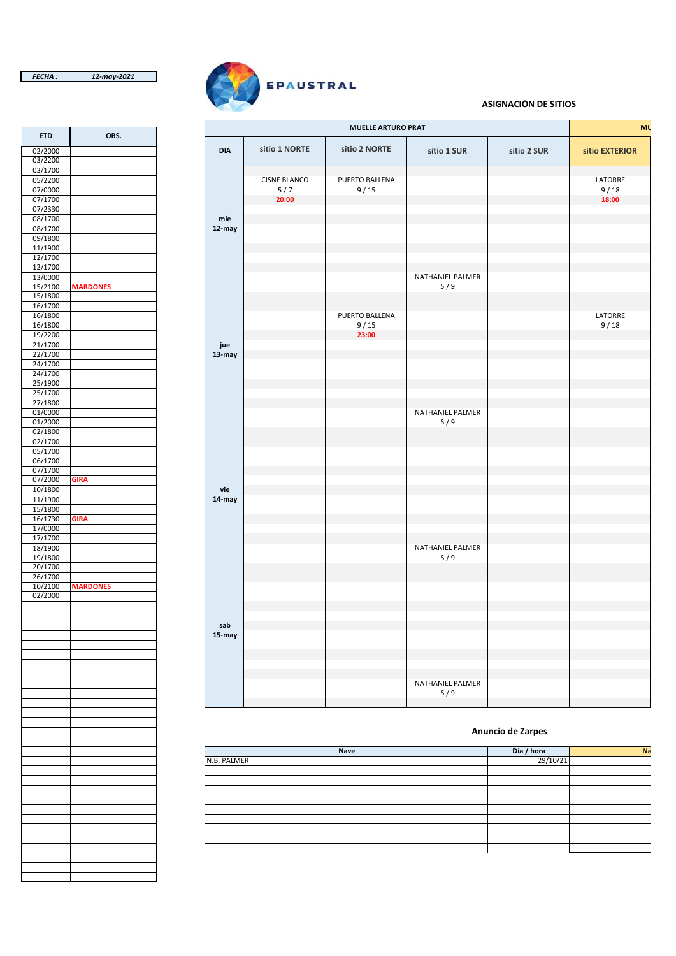02/2000 03/2200  $\frac{03/1700}{05/2200}$ 

07/2330 08/1700 **mie** 08/1700 09/1800 11/1900 12/1700  $\frac{12/1700}{13/0000}$ 

15/1800  $\frac{16/1700}{16/1800}$ 

21/1700 **jue** 22/1700 **13-may** 24/1700  $\frac{24}{1700}$ 25/1900  $\frac{25/1500}{25/1700}$ 27/1800

02/1800 02/1700 05/1700 06/1700 07/1700 07/2000 **GIRA** 10/1800 **vie** 11/1900 **14-may** 15/1800 16/1730 **GIRA** 17/0000 17/1700<br>18/1900

20/1700  $\frac{26/1700}{10/2100}$ 

02/2000



### **ASIGNACIÓN DE SITIOS**

| <b>ETD</b>         | OBS.            |            |                     | <b>MUELLE ARTURO PRAT</b> |                  |             | <b>MU</b>      |
|--------------------|-----------------|------------|---------------------|---------------------------|------------------|-------------|----------------|
| 02/2000            |                 | <b>DIA</b> | sitio 1 NORTE       | sitio 2 NORTE             | sitio 1 SUR      | sitio 2 SUR | sitio EXTERIOR |
| 03/2200            |                 |            |                     |                           |                  |             |                |
| 03/1700            |                 |            |                     |                           |                  |             |                |
| 05/2200            |                 |            | <b>CISNE BLANCO</b> | PUERTO BALLENA            |                  |             | LATORRE        |
| 07/0000            |                 |            | 5/7                 | 9/15                      |                  |             | 9/18           |
| 07/1700            |                 |            | 20:00               |                           |                  |             | 18:00          |
| 07/2330            |                 |            |                     |                           |                  |             |                |
| 08/1700            |                 | mie        |                     |                           |                  |             |                |
| 08/1700            |                 | $12$ -may  |                     |                           |                  |             |                |
| 09/1800            |                 |            |                     |                           |                  |             |                |
| 11/1900            |                 |            |                     |                           |                  |             |                |
| 12/1700            |                 |            |                     |                           |                  |             |                |
| 12/1700            |                 |            |                     |                           |                  |             |                |
| 13/0000            |                 |            |                     |                           | NATHANIEL PALMER |             |                |
| 15/2100            | <b>MARDONES</b> |            |                     |                           | 5/9              |             |                |
| 15/1800            |                 |            |                     |                           |                  |             |                |
| 16/1700            |                 |            |                     |                           |                  |             |                |
| 16/1800            |                 |            |                     | PUERTO BALLENA            |                  |             | LATORRE        |
| 16/1800            |                 |            |                     | 9/15                      |                  |             | 9/18           |
| 19/2200            |                 |            |                     | 23:00                     |                  |             |                |
| 21/1700            |                 | jue        |                     |                           |                  |             |                |
| 22/1700            |                 | 13-may     |                     |                           |                  |             |                |
| 24/1700            |                 |            |                     |                           |                  |             |                |
| 24/1700            |                 |            |                     |                           |                  |             |                |
| 25/1900            |                 |            |                     |                           |                  |             |                |
| 25/1700            |                 |            |                     |                           |                  |             |                |
| 27/1800            |                 |            |                     |                           |                  |             |                |
| 01/0000            |                 |            |                     |                           | NATHANIEL PALMER |             |                |
| 01/2000            |                 |            |                     |                           | 5/9              |             |                |
| 02/1800            |                 |            |                     |                           |                  |             |                |
| 02/1700            |                 |            |                     |                           |                  |             |                |
| 05/1700            |                 |            |                     |                           |                  |             |                |
| 06/1700            |                 |            |                     |                           |                  |             |                |
| 07/1700            |                 |            |                     |                           |                  |             |                |
| 07/2000            | <b>GIRA</b>     |            |                     |                           |                  |             |                |
| 10/1800            |                 | vie        |                     |                           |                  |             |                |
| 11/1900            |                 | 14-may     |                     |                           |                  |             |                |
| 15/1800            |                 |            |                     |                           |                  |             |                |
| 16/1730            | <b>GIRA</b>     |            |                     |                           |                  |             |                |
| 17/0000            |                 |            |                     |                           |                  |             |                |
| 17/1700            |                 |            |                     |                           |                  |             |                |
| 18/1900            |                 |            |                     |                           | NATHANIEL PALMER |             |                |
| 19/1800            |                 |            |                     |                           | 5/9              |             |                |
| 20/1700            |                 |            |                     |                           |                  |             |                |
| 26/1700            |                 |            |                     |                           |                  |             |                |
| 10/2100<br>02/2000 | <b>MARDONES</b> |            |                     |                           |                  |             |                |
|                    |                 |            |                     |                           |                  |             |                |
|                    |                 |            |                     |                           |                  |             |                |
|                    |                 |            |                     |                           |                  |             |                |
|                    |                 | sab        |                     |                           |                  |             |                |
|                    |                 | 15-may     |                     |                           |                  |             |                |
|                    |                 |            |                     |                           |                  |             |                |
|                    |                 |            |                     |                           |                  |             |                |
|                    |                 |            |                     |                           |                  |             |                |
|                    |                 |            |                     |                           |                  |             |                |
|                    |                 |            |                     |                           | NATHANIEL PALMER |             |                |
|                    |                 |            |                     |                           | 5/9              |             |                |
|                    |                 |            |                     |                           |                  |             |                |

#### **Anuncio de Zarpes**

| Nave        | Día / hora | Na |
|-------------|------------|----|
| N.B. PALMER | 29/10/21   |    |
|             |            |    |
|             |            |    |
|             |            |    |
|             |            |    |
|             |            |    |
|             |            |    |
|             |            |    |
|             |            |    |
|             |            |    |
|             |            |    |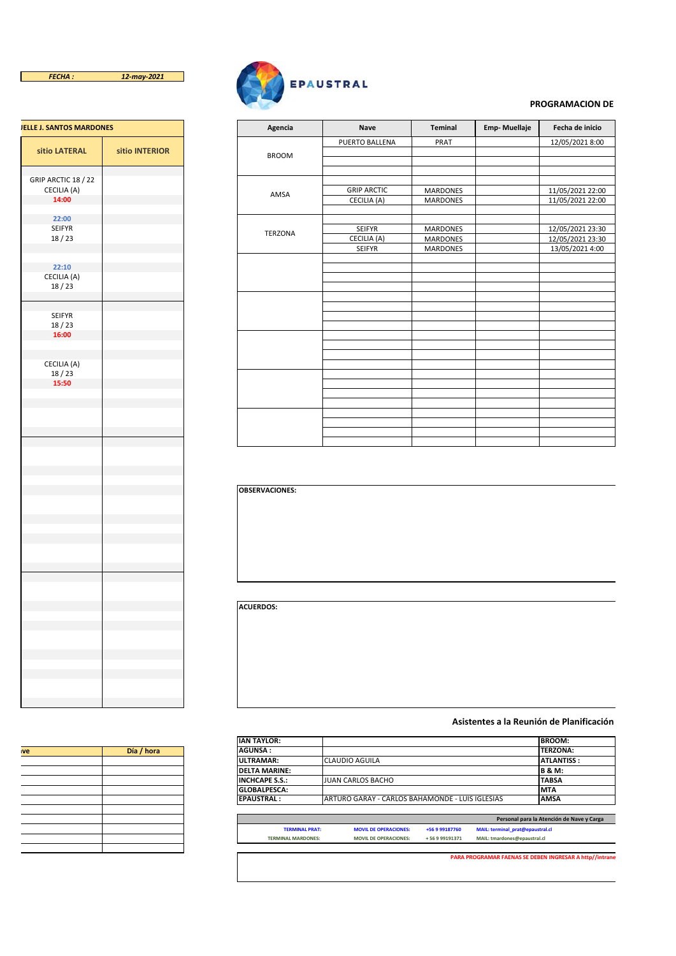

| <b>JELLE J. SANTOS MARDONES</b> |                |
|---------------------------------|----------------|
| sitio LATERAL                   | sitio INTERIOR |
| GRIP ARCTIC 18 / 22             |                |
| CECILIA (A)                     |                |
| 14:00                           |                |
| 22:00                           |                |
| <b>SEIFYR</b><br>18/23          |                |
|                                 |                |
|                                 |                |
| 22:10                           |                |
| CECILIA (A)<br>18/23            |                |
|                                 |                |
|                                 |                |
| SEIFYR<br>18/23                 |                |
| 16:00                           |                |
|                                 |                |
| CECILIA (A)                     |                |
| 18/23                           |                |
| 15:50                           |                |
|                                 |                |
|                                 |                |
|                                 |                |
|                                 |                |
|                                 |                |
|                                 |                |
|                                 |                |
|                                 |                |
|                                 |                |
|                                 |                |
|                                 |                |
|                                 |                |
|                                 |                |
|                                 |                |
|                                 |                |
|                                 |                |
|                                 |                |
|                                 |                |
|                                 |                |
|                                 |                |
|                                 |                |
|                                 |                |
|                                 |                |
|                                 |                |
|                                 |                |



### **PROGRAMACIÓN DE**

| <b>JELLE J. SANTOS MARDONES</b> |                | Agencia        | Nave               | Teminal         | Emp-Muellaje |
|---------------------------------|----------------|----------------|--------------------|-----------------|--------------|
|                                 |                |                | PUERTO BALLENA     | PRAT            |              |
| sitio LATERAL                   | sitio INTERIOR | <b>BROOM</b>   |                    |                 |              |
|                                 |                |                |                    |                 |              |
|                                 |                |                |                    |                 |              |
| GRIP ARCTIC 18 / 22             |                |                |                    |                 |              |
| CECILIA (A)                     |                | AMSA           | <b>GRIP ARCTIC</b> | <b>MARDONES</b> |              |
| 14:00                           |                |                | CECILIA (A)        | <b>MARDONES</b> |              |
|                                 |                |                |                    |                 |              |
| 22:00                           |                |                |                    |                 |              |
| <b>SEIFYR</b>                   |                | <b>TERZONA</b> | SEIFYR             | <b>MARDONES</b> |              |
| $18/23$                         |                |                | CECILIA (A)        | <b>MARDONES</b> |              |
|                                 |                |                | SEIFYR             | <b>MARDONES</b> |              |
|                                 |                |                |                    |                 |              |
| 22:10                           |                |                |                    |                 |              |
| CECILIA (A)                     |                |                |                    |                 |              |
| 18/23                           |                |                |                    |                 |              |
|                                 |                |                |                    |                 |              |
|                                 |                |                |                    |                 |              |
| SEIFYR                          |                |                |                    |                 |              |
| 18/23                           |                |                |                    |                 |              |
| 16:00                           |                |                |                    |                 |              |
|                                 |                |                |                    |                 |              |
| CECILIA (A)                     |                |                |                    |                 |              |
| 18/23                           |                |                |                    |                 |              |
| 15:50                           |                |                |                    |                 |              |
|                                 |                |                |                    |                 |              |
|                                 |                |                |                    |                 |              |
|                                 |                |                |                    |                 |              |
|                                 |                |                |                    |                 |              |
|                                 |                |                |                    |                 |              |
|                                 |                |                |                    |                 |              |
|                                 |                |                |                    |                 |              |

**OBSERVACIONES:**

**ACUERDOS:**

## **Asistentes a la Reunión de Planificación**

| <b>IAN TAYLOR:</b>    |                       |                                                 |                |                                  | <b>BROOM:</b>                             |
|-----------------------|-----------------------|-------------------------------------------------|----------------|----------------------------------|-------------------------------------------|
| <b>AGUNSA:</b>        |                       |                                                 |                |                                  | <b>TERZONA:</b>                           |
| ULTRAMAR:             |                       | <b>CLAUDIO AGUILA</b>                           |                |                                  | <b>ATLANTISS:</b>                         |
| <b>DELTA MARINE:</b>  |                       |                                                 |                |                                  | <b>B&amp;M:</b>                           |
| <b>INCHCAPE S.S.:</b> |                       | <b>JUAN CARLOS BACHO</b>                        |                |                                  | <b>TABSA</b>                              |
| <b>GLOBALPESCA:</b>   |                       |                                                 |                |                                  | <b>MTA</b>                                |
| <b>EPAUSTRAL:</b>     |                       | ARTURO GARAY - CARLOS BAHAMONDE - LUIS IGLESIAS |                |                                  | <b>AMSA</b>                               |
|                       |                       |                                                 |                |                                  |                                           |
|                       |                       |                                                 |                |                                  |                                           |
|                       | <b>TERMINAL PRAT:</b> | <b>MOVIL DE OPERACIONES:</b>                    | +56 9 99187760 | MAIL: terminal prat@epaustral.cl | Personal para la Atención de Nave y Carga |

| ve | Día / hora |
|----|------------|
|    |            |
|    |            |
|    |            |
|    |            |
|    |            |
|    |            |
|    |            |
|    |            |
|    |            |
|    |            |